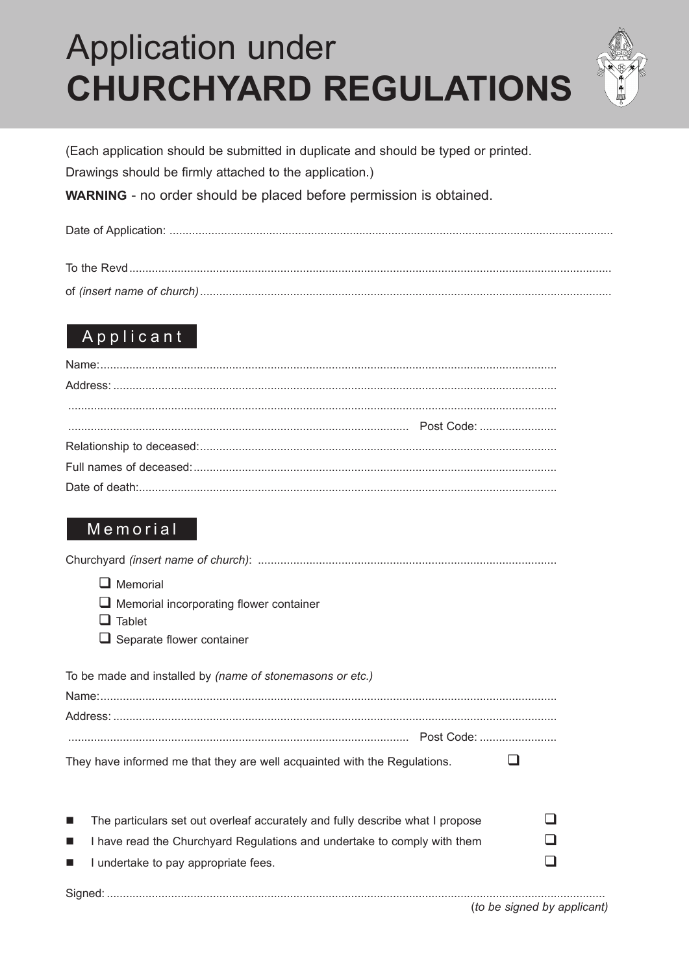# **Application under CHURCHYARD REGULATIONS**



(Each application should be submitted in duplicate and should be typed or printed.

Drawings should be firmly attached to the application.)

**WARNING** - no order should be placed before permission is obtained.

|--|--|

### Applicant

### Memorial

| $\Box$ Memorial                                                                                 |  |
|-------------------------------------------------------------------------------------------------|--|
| Memorial incorporating flower container                                                         |  |
| $\Box$ Tablet                                                                                   |  |
| $\Box$ Separate flower container                                                                |  |
| To be made and installed by (name of stonemasons or etc.)                                       |  |
|                                                                                                 |  |
|                                                                                                 |  |
|                                                                                                 |  |
| They have informed me that they are well acquainted with the Regulations.                       |  |
|                                                                                                 |  |
| The particulars set out overleaf accurately and fully describe what I propose<br>$\blacksquare$ |  |
| I have read the Churchyard Regulations and undertake to comply with them<br>$\blacksquare$      |  |
| I undertake to pay appropriate fees.<br>$\blacksquare$                                          |  |
|                                                                                                 |  |